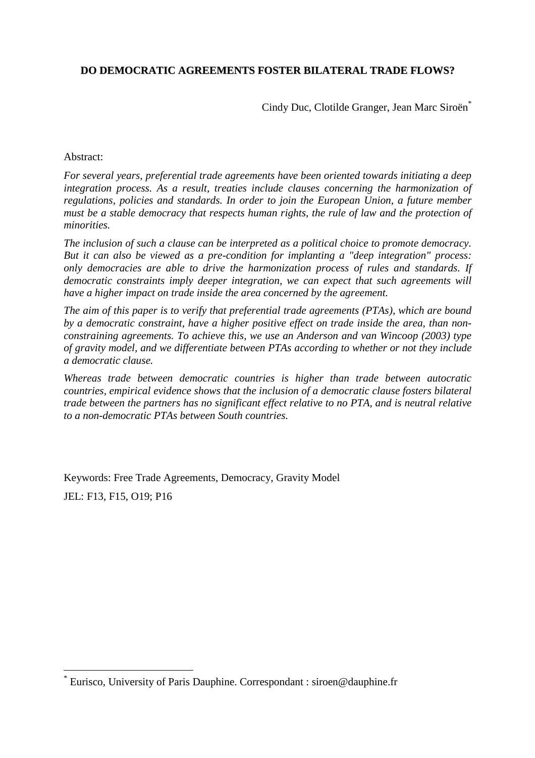# **DO DEMOCRATIC AGREEMENTS FOSTER BILATERAL TRADE FLOWS?**

Cindy Duc, Clotilde Granger, Jean Marc Siroën<sup>\*</sup>

#### Abstract:

 $\overline{a}$ 

*For several years, preferential trade agreements have been oriented towards initiating a deep integration process. As a result, treaties include clauses concerning the harmonization of regulations, policies and standards. In order to join the European Union, a future member must be a stable democracy that respects human rights, the rule of law and the protection of minorities.*

*The inclusion of such a clause can be interpreted as a political choice to promote democracy. But it can also be viewed as a pre-condition for implanting a "deep integration" process: only democracies are able to drive the harmonization process of rules and standards. If democratic constraints imply deeper integration, we can expect that such agreements will have a higher impact on trade inside the area concerned by the agreement.*

*The aim of this paper is to verify that preferential trade agreements (PTAs), which are bound by a democratic constraint, have a higher positive effect on trade inside the area, than nonconstraining agreements. To achieve this, we use an Anderson and van Wincoop (2003) type of gravity model, and we differentiate between PTAs according to whether or not they include a democratic clause.*

*Whereas trade between democratic countries is higher than trade between autocratic countries, empirical evidence shows that the inclusion of a democratic clause fosters bilateral trade between the partners has no significant effect relative to no PTA, and is neutral relative to a non-democratic PTAs between South countries.*

Keywords: Free Trade Agreements, Democracy, Gravity Model JEL: F13, F15, O19; P16

<sup>\*</sup> Eurisco, University of Paris Dauphine. Correspondant : siroen@dauphine.fr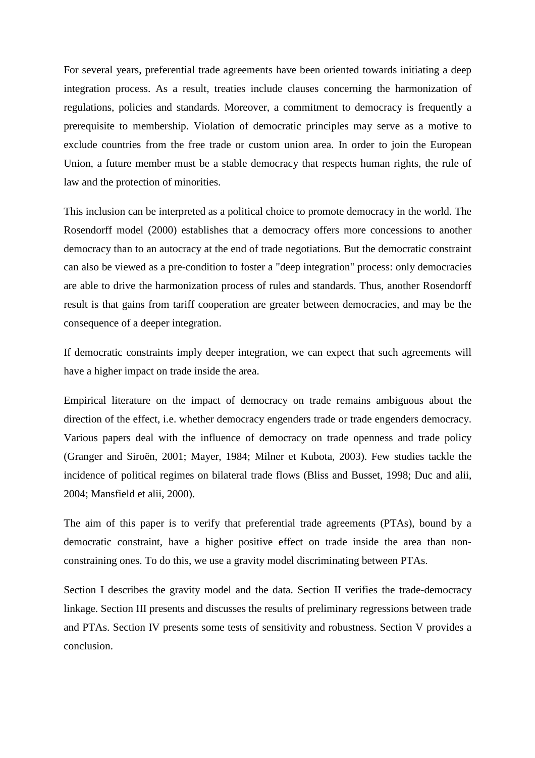For several years, preferential trade agreements have been oriented towards initiating a deep integration process. As a result, treaties include clauses concerning the harmonization of regulations, policies and standards. Moreover, a commitment to democracy is frequently a prerequisite to membership. Violation of democratic principles may serve as a motive to exclude countries from the free trade or custom union area. In order to join the European Union, a future member must be a stable democracy that respects human rights, the rule of law and the protection of minorities.

This inclusion can be interpreted as a political choice to promote democracy in the world. The Rosendorff model (2000) establishes that a democracy offers more concessions to another democracy than to an autocracy at the end of trade negotiations. But the democratic constraint can also be viewed as a pre-condition to foster a "deep integration" process: only democracies are able to drive the harmonization process of rules and standards. Thus, another Rosendorff result is that gains from tariff cooperation are greater between democracies, and may be the consequence of a deeper integration.

If democratic constraints imply deeper integration, we can expect that such agreements will have a higher impact on trade inside the area.

Empirical literature on the impact of democracy on trade remains ambiguous about the direction of the effect, i.e. whether democracy engenders trade or trade engenders democracy. Various papers deal with the influence of democracy on trade openness and trade policy (Granger and Siroën, 2001; Mayer, 1984; Milner et Kubota, 2003). Few studies tackle the incidence of political regimes on bilateral trade flows (Bliss and Busset, 1998; Duc and alii, 2004; Mansfield et alii, 2000).

The aim of this paper is to verify that preferential trade agreements (PTAs), bound by a democratic constraint, have a higher positive effect on trade inside the area than nonconstraining ones. To do this, we use a gravity model discriminating between PTAs.

Section I describes the gravity model and the data. Section II verifies the trade-democracy linkage. Section III presents and discusses the results of preliminary regressions between trade and PTAs. Section IV presents some tests of sensitivity and robustness. Section V provides a conclusion.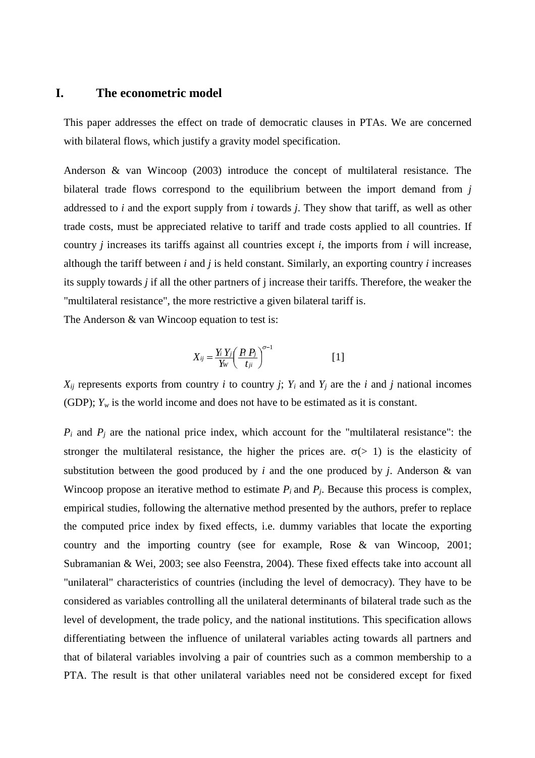### **I. The econometric model**

This paper addresses the effect on trade of democratic clauses in PTAs. We are concerned with bilateral flows, which justify a gravity model specification.

Anderson & van Wincoop (2003) introduce the concept of multilateral resistance. The bilateral trade flows correspond to the equilibrium between the import demand from *j* addressed to *i* and the export supply from *i* towards *j*. They show that tariff, as well as other trade costs, must be appreciated relative to tariff and trade costs applied to all countries. If country *j* increases its tariffs against all countries except *i*, the imports from *i* will increase, although the tariff between *i* and *j* is held constant. Similarly, an exporting country *i* increases its supply towards *j* if all the other partners of j increase their tariffs. Therefore, the weaker the "multilateral resistance", the more restrictive a given bilateral tariff is.

The Anderson & van Wincoop equation to test is:

$$
X_{ij} = \frac{Y_i Y_j}{Y_W} \left(\frac{P_i P_j}{t_{ji}}\right)^{\sigma-1} \tag{1}
$$

 $X_{ij}$  represents exports from country *i* to country *j*;  $Y_i$  and  $Y_j$  are the *i* and *j* national incomes (GDP);  $Y_w$  is the world income and does not have to be estimated as it is constant.

 $P_i$  and  $P_j$  are the national price index, which account for the "multilateral resistance": the stronger the multilateral resistance, the higher the prices are.  $\sigma$ (> 1) is the elasticity of substitution between the good produced by *i* and the one produced by *j*. Anderson & van Wincoop propose an iterative method to estimate  $P_i$  and  $P_j$ . Because this process is complex, empirical studies, following the alternative method presented by the authors, prefer to replace the computed price index by fixed effects, i.e. dummy variables that locate the exporting country and the importing country (see for example, Rose & van Wincoop, 2001; Subramanian & Wei, 2003; see also Feenstra, 2004). These fixed effects take into account all "unilateral" characteristics of countries (including the level of democracy). They have to be considered as variables controlling all the unilateral determinants of bilateral trade such as the level of development, the trade policy, and the national institutions. This specification allows differentiating between the influence of unilateral variables acting towards all partners and that of bilateral variables involving a pair of countries such as a common membership to a PTA. The result is that other unilateral variables need not be considered except for fixed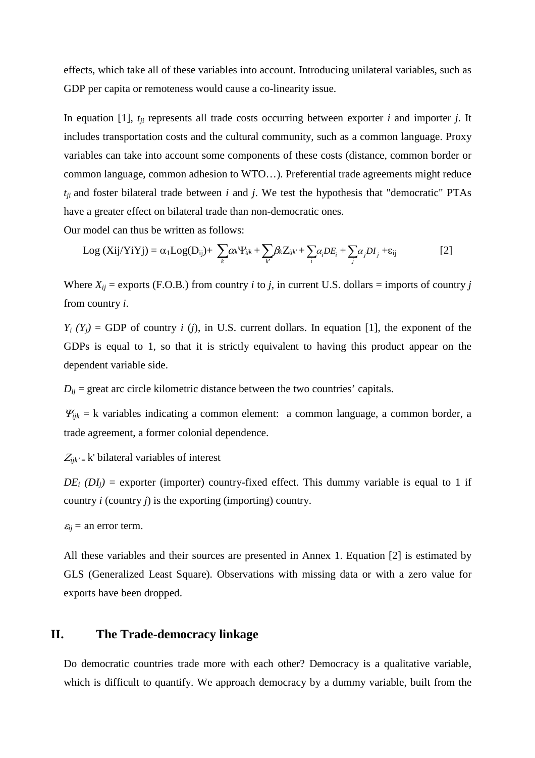effects, which take all of these variables into account. Introducing unilateral variables, such as GDP per capita or remoteness would cause a co-linearity issue.

In equation [1],  $t_{ji}$  represents all trade costs occurring between exporter *i* and importer *j*. It includes transportation costs and the cultural community, such as a common language. Proxy variables can take into account some components of these costs (distance, common border or common language, common adhesion to WTO…). Preferential trade agreements might reduce  $t_{ji}$  and foster bilateral trade between  $i$  and  $j$ . We test the hypothesis that "democratic" PTAs have a greater effect on bilateral trade than non-democratic ones.

Our model can thus be written as follows:

$$
Log (Xij/YiYj) = \alpha_1 Log(D_{ij}) + \sum_k \alpha_k \Psi_{ijk} + \sum_k \beta_k Z_{ijk} + \sum_i \alpha_i DE_i + \sum_j \alpha_j DI_j + \epsilon_{ij}
$$
 [2]

Where  $X_{ij}$  = exports (F.O.B.) from country *i* to *j*, in current U.S. dollars = imports of country *j* from country *i*.

 $Y_i$   $(Y_i)$  = GDP of country *i* (*j*), in U.S. current dollars. In equation [1], the exponent of the GDPs is equal to 1, so that it is strictly equivalent to having this product appear on the dependent variable side.

 $D_{ii}$  = great arc circle kilometric distance between the two countries' capitals.

 $Y_{ijk}$  = k variables indicating a common element: a common language, a common border, a trade agreement, a former colonial dependence.

 $Z_{ijk}$ <sup>-</sup> k' bilateral variables of interest

 $DE_i$  ( $DI_i$ ) = exporter (importer) country-fixed effect. This dummy variable is equal to 1 if country *i* (country *j*) is the exporting (importing) country.

 $\varepsilon_{ij}$  = an error term.

All these variables and their sources are presented in Annex 1. Equation [2] is estimated by GLS (Generalized Least Square). Observations with missing data or with a zero value for exports have been dropped.

#### **II. The Trade-democracy linkage**

Do democratic countries trade more with each other? Democracy is a qualitative variable, which is difficult to quantify. We approach democracy by a dummy variable, built from the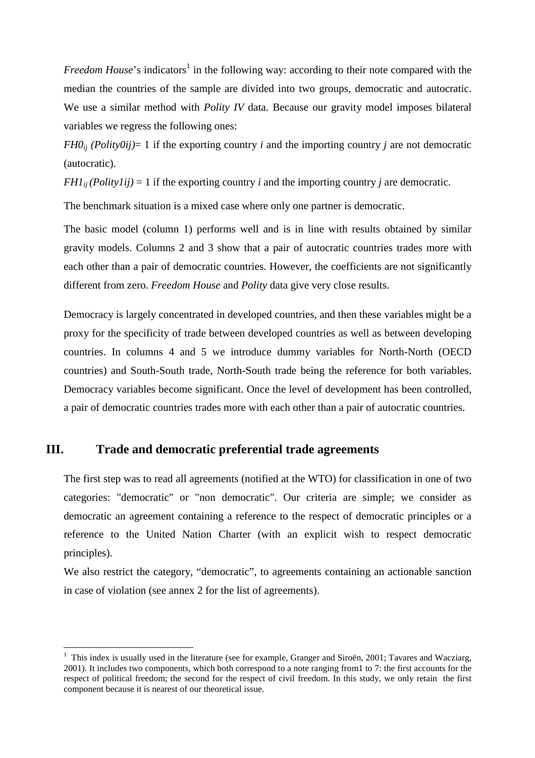Freedom House's indicators<sup>1</sup> in the following way: according to their note compared with the median the countries of the sample are divided into two groups, democratic and autocratic. We use a similar method with *Polity IV* data. Because our gravity model imposes bilateral variables we regress the following ones:

*FH0*<sup>*ij*</sup> *(Polity0ij*)= 1 if the exporting country *i* and the importing country *j* are not democratic (autocratic).

*FH1*<sup>*ij*</sup> *(Polity1ij)* = 1 if the exporting country *i* and the importing country *j* are democratic.

The benchmark situation is a mixed case where only one partner is democratic.

The basic model (column 1) performs well and is in line with results obtained by similar gravity models. Columns 2 and 3 show that a pair of autocratic countries trades more with each other than a pair of democratic countries. However, the coefficients are not significantly different from zero. *Freedom House* and *Polity* data give very close results.

Democracy is largely concentrated in developed countries, and then these variables might be a proxy for the specificity of trade between developed countries as well as between developing countries. In columns 4 and 5 we introduce dummy variables for North-North (OECD countries) and South-South trade, North-South trade being the reference for both variables. Democracy variables become significant. Once the level of development has been controlled, a pair of democratic countries trades more with each other than a pair of autocratic countries.

# **III. Trade and democratic preferential trade agreements**

 $\overline{a}$ 

The first step was to read all agreements (notified at the WTO) for classification in one of two categories: "democratic" or "non democratic". Our criteria are simple; we consider as democratic an agreement containing a reference to the respect of democratic principles or a reference to the United Nation Charter (with an explicit wish to respect democratic principles).

We also restrict the category, "democratic", to agreements containing an actionable sanction in case of violation (see annex 2 for the list of agreements).

<sup>&</sup>lt;sup>1</sup> This index is usually used in the literature (see for example, Granger and Siroën, 2001; Tavares and Wacziarg, 2001). It includes two components, which both correspond to a note ranging from1 to 7: the first accounts for the respect of political freedom; the second for the respect of civil freedom. In this study, we only retain the first component because it is nearest of our theoretical issue.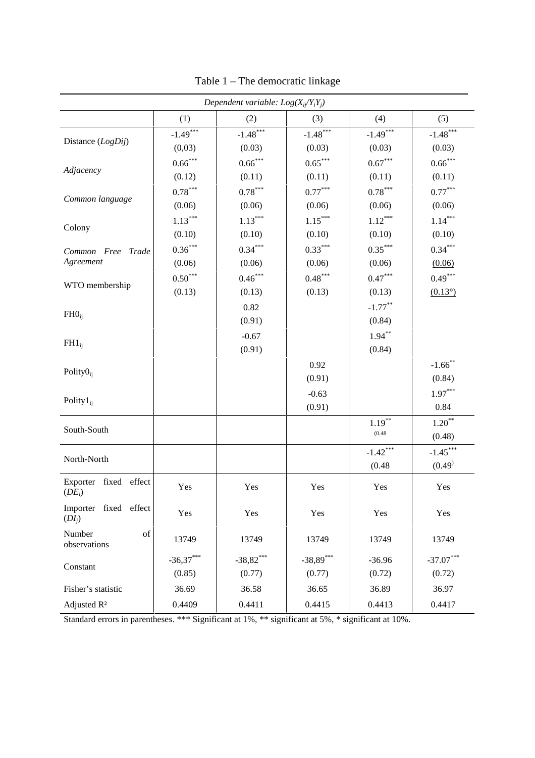| Dependent variable: $Log(X_{ii}/Y_iY_i)$ |                       |                               |             |            |                  |
|------------------------------------------|-----------------------|-------------------------------|-------------|------------|------------------|
|                                          | (1)                   | (2)                           | (3)         | (4)        | (5)              |
| Distance (LogDij)                        | $-1.49***$            | $\text{-}1.48^{\ast\ast\ast}$ | $-1.48***$  | $-1.49***$ | $-1.48***$       |
|                                          | (0,03)                | (0.03)                        | (0.03)      | (0.03)     | (0.03)           |
|                                          | $0.66^{***}$          | $0.66^{***}$                  | $0.65***$   | $0.67***$  | $0.66^{***}$     |
| Adjacency                                | (0.12)                | (0.11)                        | (0.11)      | (0.11)     | (0.11)           |
|                                          | $0.78^{\ast\ast\ast}$ | $0.78^{\ast\ast\ast}$         | $0.77***$   | $0.78***$  | $0.77***$        |
| Common language                          | (0.06)                | (0.06)                        | (0.06)      | (0.06)     | (0.06)           |
|                                          | $1.13***$             | $1.13***$                     | $1.15***$   | $1.12***$  | $1.14***$        |
| Colony                                   | (0.10)                | (0.10)                        | (0.10)      | (0.10)     | (0.10)           |
| Common Free Trade                        | $0.36\sp{***}$        | $0.34***$                     | $0.33***$   | $0.35***$  | $0.34***$        |
| Agreement                                | (0.06)                | (0.06)                        | (0.06)      | (0.06)     | (0.06)           |
| WTO membership                           | $0.50***$             | $0.46***$                     | $0.48***$   | $0.47***$  | $0.49***$        |
|                                          | (0.13)                | (0.13)                        | (0.13)      | (0.13)     | $(0.13^{\circ})$ |
|                                          |                       | 0.82                          |             | $-1.77***$ |                  |
| $FHO_{ij}$                               |                       | (0.91)                        |             | (0.84)     |                  |
|                                          |                       | $-0.67$                       |             | $1.94***$  |                  |
| $FH1_{ij}$                               |                       | (0.91)                        |             | (0.84)     |                  |
| Polity $0_{ij}$                          |                       |                               | 0.92        |            | $-1.66$ **       |
|                                          |                       |                               | (0.91)      |            | (0.84)           |
|                                          |                       |                               | $-0.63$     |            | $1.97***$        |
| Polity $1_{ii}$                          |                       |                               | (0.91)      |            | 0.84             |
| South-South                              |                       |                               |             | $1.19***$  | $1.20***$        |
|                                          |                       |                               |             | (0.48)     | (0.48)           |
| North-North                              |                       |                               |             | $-1.42***$ | $-1.45***$       |
|                                          |                       |                               |             | (0.48)     | (0.49)           |
| Exporter fixed effect<br>$(DE_i)$        | Yes                   | Yes                           | Yes         | Yes        | Yes              |
| Importer fixed effect<br>$(DI_i)$        | Yes                   | Yes                           | Yes         | Yes        | Yes              |
| Number<br>of<br>observations             | 13749                 | 13749                         | 13749       | 13749      | 13749            |
|                                          | $-36,37***$           | $-38,82***$                   | $-38,89***$ | $-36.96$   | $-37.07***$      |
| Constant                                 | (0.85)                | (0.77)                        | (0.77)      | (0.72)     | (0.72)           |
| Fisher's statistic                       | 36.69                 | 36.58                         | 36.65       | 36.89      | 36.97            |
| Adjusted R <sup>2</sup>                  | 0.4409                | 0.4411                        | 0.4415      | 0.4413     | 0.4417           |

Table 1 – The democratic linkage

Standard errors in parentheses. \*\*\* Significant at 1%, \*\* significant at 5%, \* significant at 10%.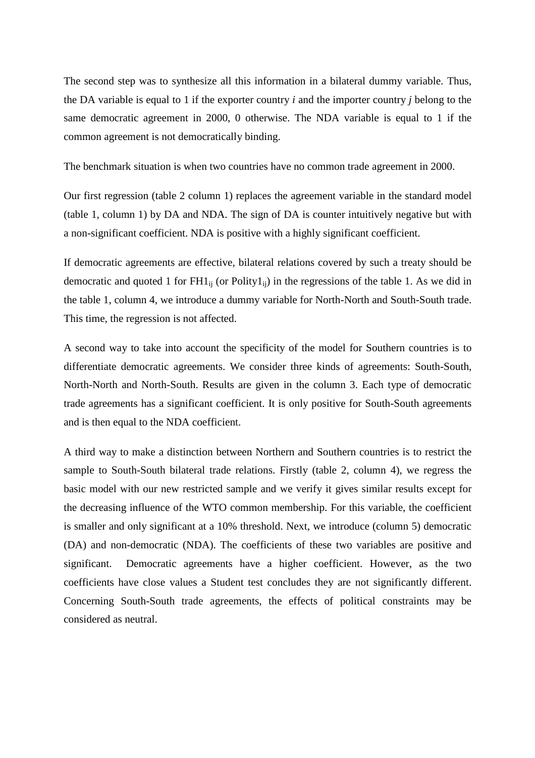The second step was to synthesize all this information in a bilateral dummy variable. Thus, the DA variable is equal to 1 if the exporter country *i* and the importer country *j* belong to the same democratic agreement in 2000, 0 otherwise. The NDA variable is equal to 1 if the common agreement is not democratically binding.

The benchmark situation is when two countries have no common trade agreement in 2000.

Our first regression (table 2 column 1) replaces the agreement variable in the standard model (table 1, column 1) by DA and NDA. The sign of DA is counter intuitively negative but with a non-significant coefficient. NDA is positive with a highly significant coefficient.

If democratic agreements are effective, bilateral relations covered by such a treaty should be democratic and quoted 1 for  $FH1_{ii}$  (or Polity1<sub>ii</sub>) in the regressions of the table 1. As we did in the table 1, column 4, we introduce a dummy variable for North-North and South-South trade. This time, the regression is not affected.

A second way to take into account the specificity of the model for Southern countries is to differentiate democratic agreements. We consider three kinds of agreements: South-South, North-North and North-South. Results are given in the column 3. Each type of democratic trade agreements has a significant coefficient. It is only positive for South-South agreements and is then equal to the NDA coefficient.

A third way to make a distinction between Northern and Southern countries is to restrict the sample to South-South bilateral trade relations. Firstly (table 2, column 4), we regress the basic model with our new restricted sample and we verify it gives similar results except for the decreasing influence of the WTO common membership. For this variable, the coefficient is smaller and only significant at a 10% threshold. Next, we introduce (column 5) democratic (DA) and non-democratic (NDA). The coefficients of these two variables are positive and significant. Democratic agreements have a higher coefficient. However, as the two coefficients have close values a Student test concludes they are not significantly different. Concerning South-South trade agreements, the effects of political constraints may be considered as neutral.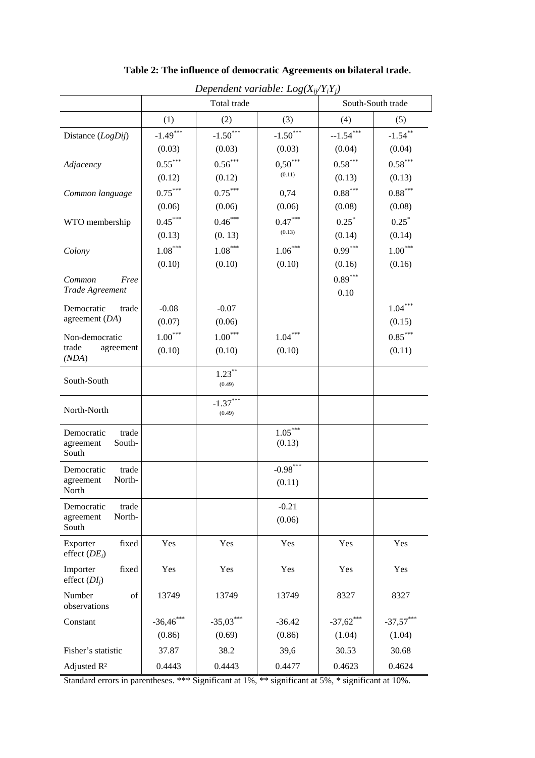| Dependent variable: $Log(X_{ij}/Y_iY_j)$            |                                 |                                  |                          |                      |                                 |  |
|-----------------------------------------------------|---------------------------------|----------------------------------|--------------------------|----------------------|---------------------------------|--|
|                                                     | Total trade                     |                                  |                          | South-South trade    |                                 |  |
|                                                     | (1)                             | (2)                              | (3)                      | (4)                  | (5)                             |  |
| Distance (LogDij)                                   | $-1.49***$<br>(0.03)            | $-1.50$ <sup>***</sup><br>(0.03) | $-1.50***$<br>(0.03)     | $-1.54***$<br>(0.04) | $-1.54***$<br>(0.04)            |  |
| Adjacency                                           | $0.55***$<br>(0.12)             | $0.56***$<br>(0.12)              | $0,50***$<br>(0.11)      | $0.58***$<br>(0.13)  | $0.58***$<br>(0.13)             |  |
| Common language                                     | $0.75***$<br>(0.06)             | $0.75***$<br>(0.06)              | 0,74<br>(0.06)           | $0.88***$<br>(0.08)  | $0.88^{\ast\ast\ast}$<br>(0.08) |  |
| WTO membership                                      | $0.45***$<br>(0.13)             | $0.46^{\ast\ast\ast}$<br>(0.13)  | $0.47***$<br>(0.13)      | $0.25^*$<br>(0.14)   | $0.25^*$<br>(0.14)              |  |
| Colony                                              | $1.08^{\ast\ast\ast}$<br>(0.10) | $1.08***$<br>(0.10)              | $1.06\sp{***}$<br>(0.10) | $0.99***$<br>(0.16)  | $1.00***$<br>(0.16)             |  |
| Common<br>Free<br>Trade Agreement                   |                                 |                                  |                          | $0.89***$<br>0.10    |                                 |  |
| Democratic<br>trade<br>agreement $(DA)$             | $-0.08$<br>(0.07)               | $-0.07$<br>(0.06)                |                          |                      | $1.04***$<br>(0.15)             |  |
| Non-democratic<br>trade<br>agreement<br>(NDA)       | $1.00^{\ast\ast\ast}$<br>(0.10) | $1.00^{\ast\ast\ast}$<br>(0.10)  | $1.04***$<br>(0.10)      |                      | $0.85***$<br>(0.11)             |  |
| South-South                                         |                                 | $1.23***$<br>(0.49)              |                          |                      |                                 |  |
| North-North                                         |                                 | $-1.37***$<br>(0.49)             |                          |                      |                                 |  |
| Democratic<br>trade<br>South-<br>agreement<br>South |                                 |                                  | $1.05***$<br>(0.13)      |                      |                                 |  |
| Democratic<br>trade<br>North-<br>agreement<br>North |                                 |                                  | $-0.98***$<br>(0.11)     |                      |                                 |  |
| trade<br>Democratic<br>North-<br>agreement<br>South |                                 |                                  | $-0.21$<br>(0.06)        |                      |                                 |  |
| Exporter<br>fixed<br>effect $(DE_i)$                | Yes                             | Yes                              | Yes                      | Yes                  | Yes                             |  |
| Importer<br>fixed<br>effect $(DI_i)$                | Yes                             | Yes                              | Yes                      | Yes                  | Yes                             |  |
| Number<br>of<br>observations                        | 13749                           | 13749                            | 13749                    | 8327                 | 8327                            |  |
| Constant                                            | $-36,46$ ***                    | $-35,03***$                      | $-36.42$                 | $-37,62$ ***         | $-37,57***$                     |  |
|                                                     | (0.86)                          | (0.69)                           | (0.86)                   | (1.04)               | (1.04)                          |  |
| Fisher's statistic                                  | 37.87                           | 38.2                             | 39,6                     | 30.53                | 30.68                           |  |
| Adjusted R <sup>2</sup>                             | 0.4443                          | 0.4443                           | 0.4477                   | 0.4623               | 0.4624                          |  |

**Table 2: The influence of democratic Agreements on bilateral trade**.

Standard errors in parentheses. \*\*\* Significant at 1%, \*\* significant at 5%, \* significant at 10%.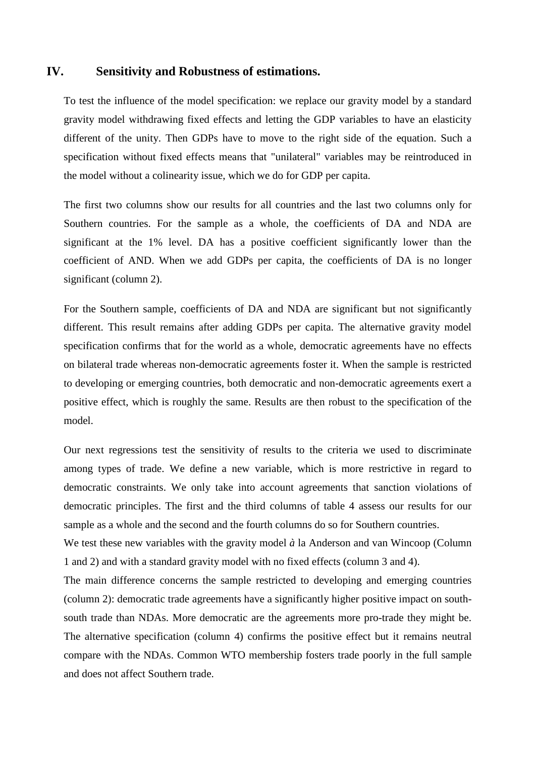### **IV. Sensitivity and Robustness of estimations.**

To test the influence of the model specification: we replace our gravity model by a standard gravity model withdrawing fixed effects and letting the GDP variables to have an elasticity different of the unity. Then GDPs have to move to the right side of the equation. Such a specification without fixed effects means that "unilateral" variables may be reintroduced in the model without a colinearity issue, which we do for GDP per capita.

The first two columns show our results for all countries and the last two columns only for Southern countries. For the sample as a whole, the coefficients of DA and NDA are significant at the 1% level. DA has a positive coefficient significantly lower than the coefficient of AND. When we add GDPs per capita, the coefficients of DA is no longer significant (column 2).

For the Southern sample, coefficients of DA and NDA are significant but not significantly different. This result remains after adding GDPs per capita. The alternative gravity model specification confirms that for the world as a whole, democratic agreements have no effects on bilateral trade whereas non-democratic agreements foster it. When the sample is restricted to developing or emerging countries, both democratic and non-democratic agreements exert a positive effect, which is roughly the same. Results are then robust to the specification of the model.

Our next regressions test the sensitivity of results to the criteria we used to discriminate among types of trade. We define a new variable, which is more restrictive in regard to democratic constraints. We only take into account agreements that sanction violations of democratic principles. The first and the third columns of table 4 assess our results for our sample as a whole and the second and the fourth columns do so for Southern countries.

We test these new variables with the gravity model *à* la Anderson and van Wincoop (Column 1 and 2) and with a standard gravity model with no fixed effects (column 3 and 4).

The main difference concerns the sample restricted to developing and emerging countries (column 2): democratic trade agreements have a significantly higher positive impact on southsouth trade than NDAs. More democratic are the agreements more pro-trade they might be. The alternative specification (column 4) confirms the positive effect but it remains neutral compare with the NDAs. Common WTO membership fosters trade poorly in the full sample and does not affect Southern trade.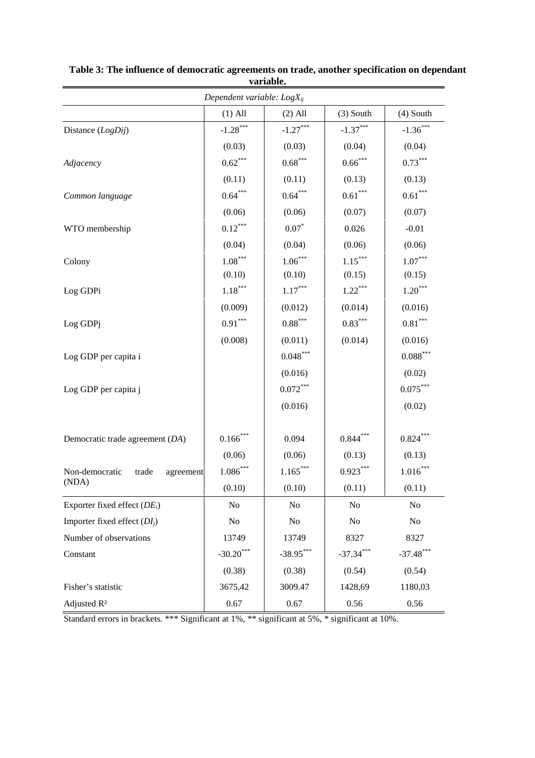|                                      | Dependent variable: $LogX_{ij}$ |                       |             |                        |
|--------------------------------------|---------------------------------|-----------------------|-------------|------------------------|
|                                      | $(1)$ All                       | $(2)$ All             | $(3)$ South | $(4)$ South            |
| Distance (LogDij)                    | $-1.28***$                      | $-1.27***$            | $-1.37***$  | $-1.36***$             |
|                                      | (0.03)                          | (0.03)                | (0.04)      | (0.04)                 |
| Adjacency                            | $0.62^{\ast\ast\ast}$           | $0.68***$             | $0.66***$   | $0.73***$              |
|                                      | (0.11)                          | (0.11)                | (0.13)      | (0.13)                 |
| Common language                      | $0.64***$                       | $0.64***$             | $0.61***$   | $0.61***$              |
|                                      | (0.06)                          | (0.06)                | (0.07)      | (0.07)                 |
| WTO membership                       | $0.12***$                       | $0.07*$               | 0.026       | $-0.01$                |
|                                      | (0.04)                          | (0.04)                | (0.06)      | (0.06)                 |
| Colony                               | $1.08\overset{***}{ }$          | $1.06***$             | $1.15***$   | $1.07***$              |
|                                      | (0.10)                          | (0.10)                | (0.15)      | (0.15)                 |
| Log GDPi                             | $1.18^{\ast\ast\ast}$           | $1.17^{\ast\ast\ast}$ | $1.22***$   | $1.20***$              |
|                                      | (0.009)                         | (0.012)               | (0.014)     | (0.016)                |
| Log GDPj                             | $0.91***$                       | $0.88***$             | $0.83***$   | $0.81^{\ast\ast\ast}$  |
|                                      | (0.008)                         | (0.011)               | (0.014)     | (0.016)                |
| Log GDP per capita i                 |                                 | $0.048^{***}\,$       |             | $0.088^{\ast\ast\ast}$ |
|                                      |                                 | (0.016)               |             | (0.02)                 |
| Log GDP per capita j                 |                                 | $0.072***$            |             | $0.075***$             |
|                                      |                                 | (0.016)               |             | (0.02)                 |
| Democratic trade agreement (DA)      | $0.166$ ***                     | 0.094                 | $0.844***$  | $0.824***$             |
|                                      | (0.06)                          | (0.06)                | (0.13)      | (0.13)                 |
| Non-democratic<br>trade<br>agreement | $1.086***$                      | $1.165***$            | $0.923***$  | $1.016***$             |
| (NDA)                                | (0.10)                          | (0.10)                | (0.11)      | (0.11)                 |
| Exporter fixed effect $(DE_i)$       | No                              | No                    | No          | No                     |
| Importer fixed effect $(DI_i)$       | $\rm No$                        | No                    | No          | No                     |
| Number of observations               | 13749                           | 13749                 | 8327        | 8327                   |
| Constant                             | $-30.20***$                     | $-38.95***$           | $-37.34***$ | $-37.48$ ***           |
|                                      | (0.38)                          | (0.38)                | (0.54)      | (0.54)                 |
| Fisher's statistic                   | 3675,42                         | 3009.47               | 1428,69     | 1180,03                |
| Adjusted R <sup>2</sup>              | 0.67                            | 0.67                  | 0.56        | 0.56                   |

**Table 3: The influence of democratic agreements on trade, another specification on dependant variable.**

Standard errors in brackets. \*\*\* Significant at 1%, \*\* significant at 5%, \* significant at 10%.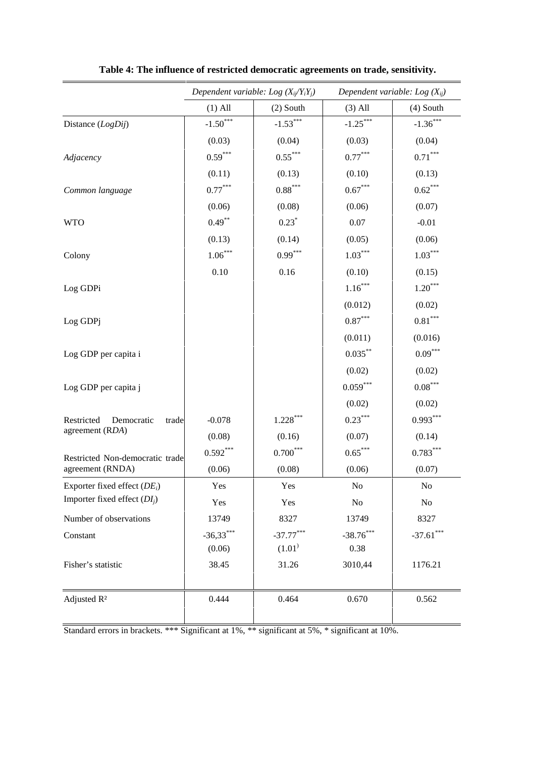|                                                                                                 | Dependent variable: Log $(X_{ii}/Y_iY_j)$ |                            |                       | Dependent variable: Log $(X_{ij})$ |  |
|-------------------------------------------------------------------------------------------------|-------------------------------------------|----------------------------|-----------------------|------------------------------------|--|
|                                                                                                 | $(1)$ All                                 | $(2)$ South                | $(3)$ All             | $(4)$ South                        |  |
| Distance (LogDij)                                                                               | $-1.50***$                                | $-1.53***$                 | $-1.25***$            | $-1.36***$                         |  |
|                                                                                                 | (0.03)                                    | (0.04)                     | (0.03)                | (0.04)                             |  |
| Adjacency                                                                                       | $0.59***$                                 | $0.55^{\ast\ast\ast}$      | $0.77***$             | $0.71^{\ast\ast\ast}$              |  |
|                                                                                                 | (0.11)                                    | (0.13)                     | (0.10)                | (0.13)                             |  |
| Common language                                                                                 | $0.77***$                                 | $0.88^{\ast\ast\ast}$      | $0.67^{\ast\ast\ast}$ | $0.62***$                          |  |
|                                                                                                 | (0.06)                                    | (0.08)                     | (0.06)                | (0.07)                             |  |
| <b>WTO</b>                                                                                      | $0.49***$                                 | $0.23*$                    | 0.07                  | $-0.01$                            |  |
|                                                                                                 | (0.13)                                    | (0.14)                     | (0.05)                | (0.06)                             |  |
| Colony                                                                                          | $1.06\sp{*}^{***}$                        | $0.99***$                  | $1.03***$             | $1.03***$                          |  |
|                                                                                                 | 0.10                                      | 0.16                       | (0.10)                | (0.15)                             |  |
| Log GDPi                                                                                        |                                           |                            | $1.16***$             | $1.20***$                          |  |
|                                                                                                 |                                           |                            | (0.012)               | (0.02)                             |  |
| Log GDPj                                                                                        |                                           |                            | $0.87***$             | $0.81^{\ast\ast\ast}$              |  |
|                                                                                                 |                                           |                            | (0.011)               | (0.016)                            |  |
| Log GDP per capita i                                                                            |                                           |                            | $0.035***$            | $0.09^{***}$                       |  |
|                                                                                                 |                                           |                            | (0.02)                | (0.02)                             |  |
| Log GDP per capita j                                                                            |                                           |                            | $0.059***$            | $0.08^{\ast\ast\ast}$              |  |
|                                                                                                 |                                           |                            | (0.02)                | (0.02)                             |  |
| Restricted<br>Democratic<br>trade                                                               | $-0.078$                                  | $1.228\sp{*}{^\ast\sp{*}}$ | $0.23***$             | $0.993***$                         |  |
| agreement (RDA)                                                                                 | (0.08)                                    | (0.16)                     | (0.07)                | (0.14)                             |  |
| Restricted Non-democratic trade                                                                 | $0.592***$                                | $0.700^{\ast\ast\ast}$     | $0.65***$             | $0.783***$                         |  |
| agreement (RNDA)                                                                                | (0.06)                                    | (0.08)                     | (0.06)                | (0.07)                             |  |
| Exporter fixed effect $(DE_i)$                                                                  | Yes                                       | Yes                        | No                    | No                                 |  |
| Importer fixed effect $(DI_i)$                                                                  | Yes                                       | Yes                        | $\rm No$              | N <sub>0</sub>                     |  |
| Number of observations                                                                          | 13749                                     | 8327                       | 13749                 | 8327                               |  |
| Constant                                                                                        | $-36,33***$                               | $-37.77***$                | $-38.76***$           | $-37.61$ ***                       |  |
|                                                                                                 | (0.06)                                    | (1.01)                     | 0.38                  |                                    |  |
| Fisher's statistic                                                                              | 38.45                                     | 31.26                      | 3010,44               | 1176.21                            |  |
| Adjusted R <sup>2</sup>                                                                         | 0.444                                     | 0.464                      | 0.670                 | 0.562                              |  |
| Standard errors in brackets. *** Significant at 1%, ** significant at 5%, * significant at 10%. |                                           |                            |                       |                                    |  |

**Table 4: The influence of restricted democratic agreements on trade, sensitivity.**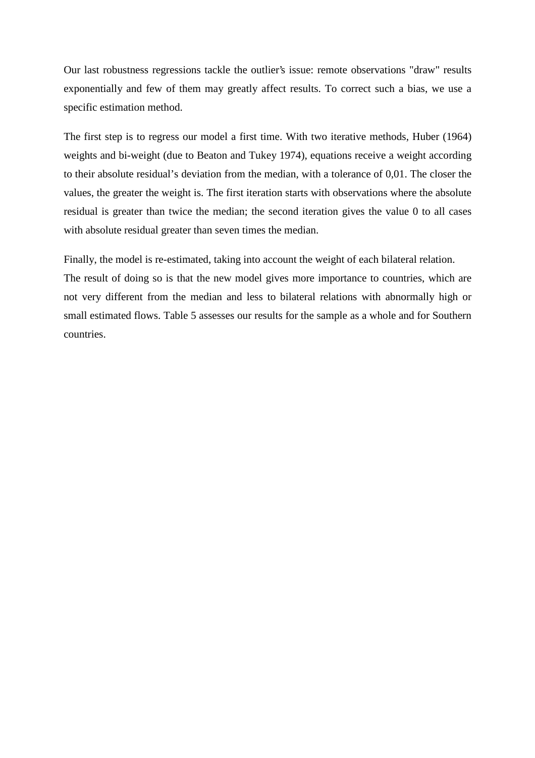Our last robustness regressions tackle the outlier's issue: remote observations "draw" results exponentially and few of them may greatly affect results. To correct such a bias, we use a specific estimation method.

The first step is to regress our model a first time. With two iterative methods, Huber (1964) weights and bi-weight (due to Beaton and Tukey 1974), equations receive a weight according to their absolute residual's deviation from the median, with a tolerance of 0,01. The closer the values, the greater the weight is. The first iteration starts with observations where the absolute residual is greater than twice the median; the second iteration gives the value 0 to all cases with absolute residual greater than seven times the median.

Finally, the model is re-estimated, taking into account the weight of each bilateral relation. The result of doing so is that the new model gives more importance to countries, which are not very different from the median and less to bilateral relations with abnormally high or small estimated flows. Table 5 assesses our results for the sample as a whole and for Southern countries.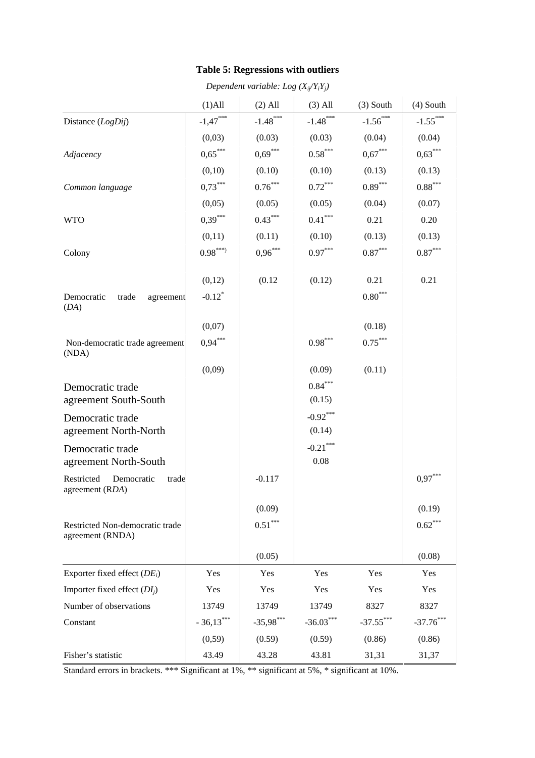# **Table 5: Regressions with outliers**

|                                                      | $(1)$ All            | $(2)$ All   | $(3)$ All             | $(3)$ South           | $(4)$ South           |
|------------------------------------------------------|----------------------|-------------|-----------------------|-----------------------|-----------------------|
| Distance (LogDij)                                    | $-1,47***$           | $-1.48***$  | $-1.48***$            | $-1.56***$            | $-1.55***$            |
|                                                      | (0,03)               | (0.03)      | (0.03)                | (0.04)                | (0.04)                |
| Adjacency                                            | $0,65***$            | $0,69***$   | $0.58***$             | $0,67***$             | $0,63***$             |
|                                                      | (0,10)               | (0.10)      | (0.10)                | (0.13)                | (0.13)                |
| Common language                                      | $0,73***$            | $0.76***$   | $0.72^{\ast\ast\ast}$ | $0.89^{\ast\ast\ast}$ | $0.88^{\ast\ast\ast}$ |
|                                                      | (0,05)               | (0.05)      | (0.05)                | (0.04)                | (0.07)                |
| <b>WTO</b>                                           | $0,39***$            | $0.43***$   | $0.41^{\ast\ast\ast}$ | 0.21                  | 0.20                  |
|                                                      | (0,11)               | (0.11)      | (0.10)                | (0.13)                | (0.13)                |
| Colony                                               | $0.98***$            | $0,96***$   | $0.97***$             | $0.87^{\ast\ast\ast}$ | $0.87^{\ast\ast\ast}$ |
|                                                      |                      |             |                       |                       |                       |
|                                                      | (0,12)               | (0.12)      | (0.12)                | 0.21                  | 0.21                  |
| Democratic<br>trade<br>agreement<br>(DA)             | $-0.12$ <sup>*</sup> |             |                       | $0.80***$             |                       |
|                                                      | (0,07)               |             |                       | (0.18)                |                       |
| Non-democratic trade agreement<br>(NDA)              | $0.94***$            |             | $0.98^{\ast\ast\ast}$ | $0.75***$             |                       |
|                                                      | (0,09)               |             | (0.09)                | (0.11)                |                       |
| Democratic trade                                     |                      |             | $0.84***$             |                       |                       |
| agreement South-South                                |                      |             | (0.15)                |                       |                       |
| Democratic trade<br>agreement North-North            |                      |             | $-0.92***$<br>(0.14)  |                       |                       |
| Democratic trade                                     |                      |             | $-0.21***$            |                       |                       |
| agreement North-South                                |                      |             | 0.08                  |                       |                       |
| Restricted<br>Democratic<br>trade<br>agreement (RDA) |                      | $-0.117$    |                       |                       | $0.97***$             |
|                                                      |                      | (0.09)      |                       |                       | (0.19)                |
| Restricted Non-democratic trade<br>agreement (RNDA)  |                      | $0.51***$   |                       |                       | $0.62***$             |
|                                                      |                      | (0.05)      |                       |                       | (0.08)                |
| Exporter fixed effect $(DE_i)$                       | Yes                  | Yes         | Yes                   | Yes                   | Yes                   |
| Importer fixed effect $(DI_i)$                       | Yes                  | Yes         | Yes                   | Yes                   | Yes                   |
| Number of observations                               | 13749                | 13749       | 13749                 | 8327                  | 8327                  |
| Constant                                             | $-36,13***$          | $-35,98***$ | $-36.03***$           | $-37.55***$           | $-37.76***$           |
|                                                      | (0, 59)              | (0.59)      | (0.59)                | (0.86)                | (0.86)                |
| Fisher's statistic                                   | 43.49                | 43.28       | 43.81                 | 31,31                 | 31,37                 |

*Dependent variable: Log (Xij /YiYj)*

Standard errors in brackets. \*\*\* Significant at 1%, \*\* significant at 5%, \* significant at 10%.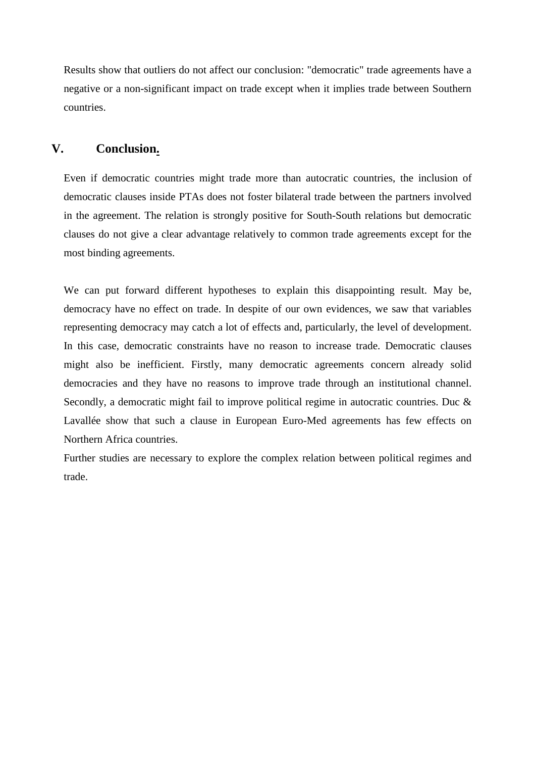Results show that outliers do not affect our conclusion: "democratic" trade agreements have a negative or a non-significant impact on trade except when it implies trade between Southern countries.

# **V. Conclusion.**

Even if democratic countries might trade more than autocratic countries, the inclusion of democratic clauses inside PTAs does not foster bilateral trade between the partners involved in the agreement. The relation is strongly positive for South-South relations but democratic clauses do not give a clear advantage relatively to common trade agreements except for the most binding agreements.

We can put forward different hypotheses to explain this disappointing result. May be, democracy have no effect on trade. In despite of our own evidences, we saw that variables representing democracy may catch a lot of effects and, particularly, the level of development. In this case, democratic constraints have no reason to increase trade. Democratic clauses might also be inefficient. Firstly, many democratic agreements concern already solid democracies and they have no reasons to improve trade through an institutional channel. Secondly, a democratic might fail to improve political regime in autocratic countries. Duc & Lavallée show that such a clause in European Euro-Med agreements has few effects on Northern Africa countries.

Further studies are necessary to explore the complex relation between political regimes and trade.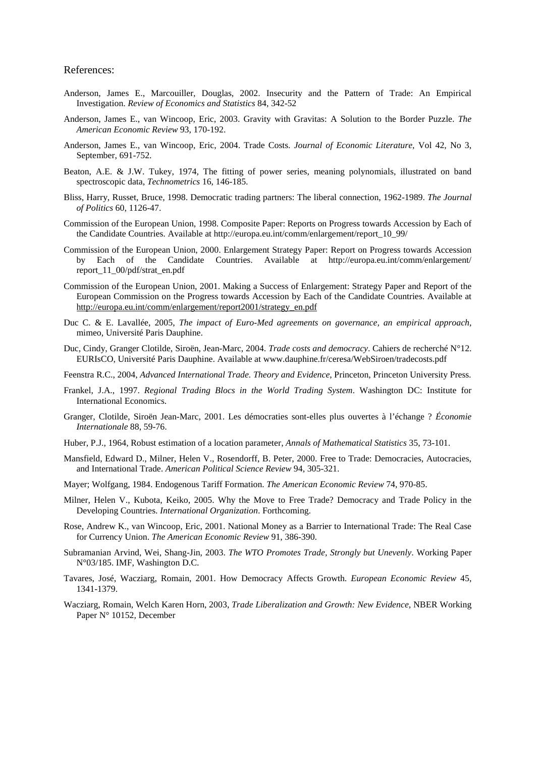#### References:

- Anderson, James E., Marcouiller, Douglas, 2002. Insecurity and the Pattern of Trade: An Empirical Investigation. *Review of Economics and Statistics* 84, 342-52
- Anderson, James E., van Wincoop, Eric, 2003. Gravity with Gravitas: A Solution to the Border Puzzle. *The American Economic Review* 93, 170-192.
- Anderson, James E., van Wincoop, Eric, 2004. Trade Costs. *Journal of Economic Literature*, Vol 42, No 3, September, 691-752.
- Beaton, A.E. & J.W. Tukey, 1974, The fitting of power series, meaning polynomials, illustrated on band spectroscopic data, *Technometrics* 16, 146-185.
- Bliss, Harry, Russet, Bruce, 1998. Democratic trading partners: The liberal connection, 1962-1989. *The Journal of Politics* 60, 1126-47.
- Commission of the European Union, 1998. Composite Paper: Reports on Progress towards Accession by Each of the Candidate Countries. Available at http://europa.eu.int/comm/enlargement/report\_10\_99/
- Commission of the European Union, 2000. Enlargement Strategy Paper: Report on Progress towards Accession by Each of the Candidate Countries. Available at http://europa.eu.int/comm/enlargement/ report\_11\_00/pdf/strat\_en.pdf
- Commission of the European Union, 2001. Making a Success of Enlargement: Strategy Paper and Report of the European Commission on the Progress towards Accession by Each of the Candidate Countries. Available at http://europa.eu.int/comm/enlargement/report2001/strategy\_en.pdf
- Duc C. & E. Lavallée, 2005, *The impact of Euro-Med agreements on governance, an empirical approach*, mimeo, Université Paris Dauphine.
- Duc, Cindy, Granger Clotilde, Siroën, Jean-Marc, 2004. *Trade costs and democracy*. Cahiers de recherché N°12. EURIsCO, Université Paris Dauphine. Available at www.dauphine.fr/ceresa/WebSiroen/tradecosts.pdf
- Feenstra R.C., 2004, *Advanced International Trade. Theory and Evidence*, Princeton, Princeton University Press.
- Frankel, J.A., 1997. *Regional Trading Blocs in the World Trading System*. Washington DC: Institute for International Economics.
- Granger, Clotilde, Siroën Jean-Marc, 2001. Les démocraties sont-elles plus ouvertes à l'échange ? *Économie Internationale* 88, 59-76.
- Huber, P.J., 1964, Robust estimation of a location parameter, *Annals of Mathematical Statistics* 35, 73-101.
- Mansfield, Edward D., Milner, Helen V., Rosendorff, B. Peter, 2000. Free to Trade: Democracies, Autocracies, and International Trade. *American Political Science Review* 94, 305-321.
- Mayer; Wolfgang, 1984. Endogenous Tariff Formation. *The American Economic Review* 74, 970-85.
- Milner, Helen V., Kubota, Keiko, 2005. Why the Move to Free Trade? Democracy and Trade Policy in the Developing Countries. *International Organization*. Forthcoming.
- Rose, Andrew K., van Wincoop, Eric, 2001. National Money as a Barrier to International Trade: The Real Case for Currency Union. *The American Economic Review* 91, 386-390.
- Subramanian Arvind, Wei, Shang-Jin, 2003. *The WTO Promotes Trade, Strongly but Unevenly*. Working Paper N°03/185. IMF, Washington D.C.
- Tavares, José, Wacziarg, Romain, 2001. How Democracy Affects Growth. *European Economic Review* 45, 1341-1379.
- Wacziarg, Romain, Welch Karen Horn, 2003, *Trade Liberalization and Growth: New Evidence*, NBER Working Paper N° 10152, December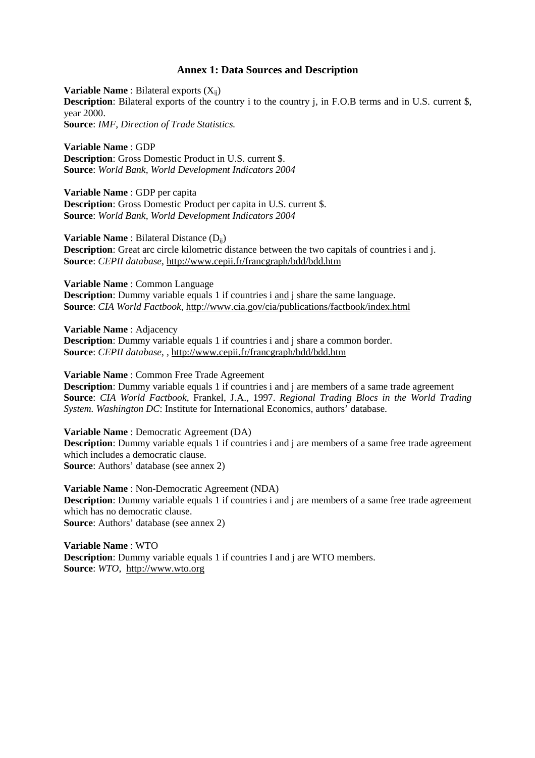#### **Annex 1: Data Sources and Description**

**Variable Name** : Bilateral exports  $(X_{ii})$ **Description**: Bilateral exports of the country i to the country j, in F.O.B terms and in U.S. current \$, year 2000. **Source**: *IMF, Direction of Trade Statistics.*

**Variable Name** : GDP **Description**: Gross Domestic Product in U.S. current \$. **Source**: *World Bank, World Development Indicators 2004*

**Variable Name** : GDP per capita **Description**: Gross Domestic Product per capita in U.S. current \$. **Source**: *World Bank, World Development Indicators 2004*

**Variable Name** : Bilateral Distance (D<sub>ij</sub>) **Description**: Great arc circle kilometric distance between the two capitals of countries i and j. **Source**: *CEPII database*, http://www.cepii.fr/francgraph/bdd/bdd.htm

**Variable Name** : Common Language **Description**: Dummy variable equals 1 if countries i and j share the same language. **Source**: *CIA World Factbook*, http://www.cia.gov/cia/publications/factbook/index.html

**Variable Name** : Adjacency **Description**: Dummy variable equals 1 if countries i and j share a common border. **Source**: *CEPII database*, , http://www.cepii.fr/francgraph/bdd/bdd.htm

**Variable Name** : Common Free Trade Agreement

**Description**: Dummy variable equals 1 if countries i and j are members of a same trade agreement **Source**: *CIA World Factbook*, Frankel, J.A., 1997. *Regional Trading Blocs in the World Trading System. Washington DC*: Institute for International Economics, authors' database.

**Variable Name** : Democratic Agreement (DA) **Description**: Dummy variable equals 1 if countries i and j are members of a same free trade agreement which includes a democratic clause. **Source**: Authors' database (see annex 2)

**Variable Name** : Non-Democratic Agreement (NDA) **Description**: Dummy variable equals 1 if countries i and j are members of a same free trade agreement which has no democratic clause. **Source**: Authors' database (see annex 2)

**Variable Name** : WTO **Description**: Dummy variable equals 1 if countries I and *i* are WTO members. **Source**: *WTO*, http://www.wto.org